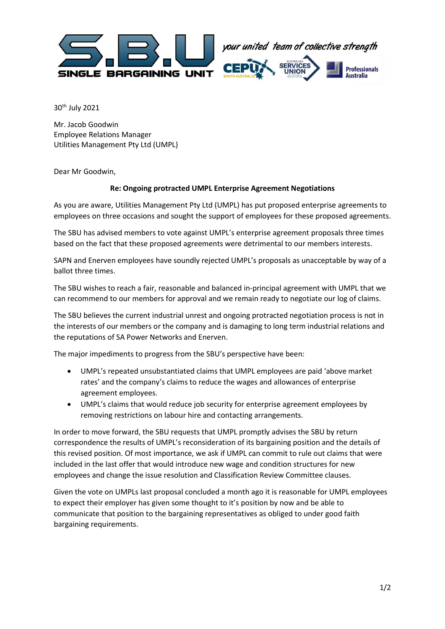

30th July 2021

Mr. Jacob Goodwin Employee Relations Manager Utilities Management Pty Ltd (UMPL)

Dear Mr Goodwin,

## Re: Ongoing protracted UMPL Enterprise Agreement Negotiations

As you are aware, Utilities Management Pty Ltd (UMPL) has put proposed enterprise agreements to employees on three occasions and sought the support of employees for these proposed agreements.

The SBU has advised members to vote against UMPL's enterprise agreement proposals three times based on the fact that these proposed agreements were detrimental to our members interests.

SAPN and Enerven employees have soundly rejected UMPL's proposals as unacceptable by way of a ballot three times.

The SBU wishes to reach a fair, reasonable and balanced in-principal agreement with UMPL that we can recommend to our members for approval and we remain ready to negotiate our log of claims.

The SBU believes the current industrial unrest and ongoing protracted negotiation process is not in the interests of our members or the company and is damaging to long term industrial relations and the reputations of SA Power Networks and Enerven.

The major impediments to progress from the SBU's perspective have been:

- UMPL's repeated unsubstantiated claims that UMPL employees are paid 'above market rates' and the company's claims to reduce the wages and allowances of enterprise agreement employees.
- UMPL's claims that would reduce job security for enterprise agreement employees by removing restrictions on labour hire and contacting arrangements.

In order to move forward, the SBU requests that UMPL promptly advises the SBU by return correspondence the results of UMPL's reconsideration of its bargaining position and the details of this revised position. Of most importance, we ask if UMPL can commit to rule out claims that were included in the last offer that would introduce new wage and condition structures for new employees and change the issue resolution and Classification Review Committee clauses.

Given the vote on UMPLs last proposal concluded a month ago it is reasonable for UMPL employees to expect their employer has given some thought to it's position by now and be able to communicate that position to the bargaining representatives as obliged to under good faith bargaining requirements.